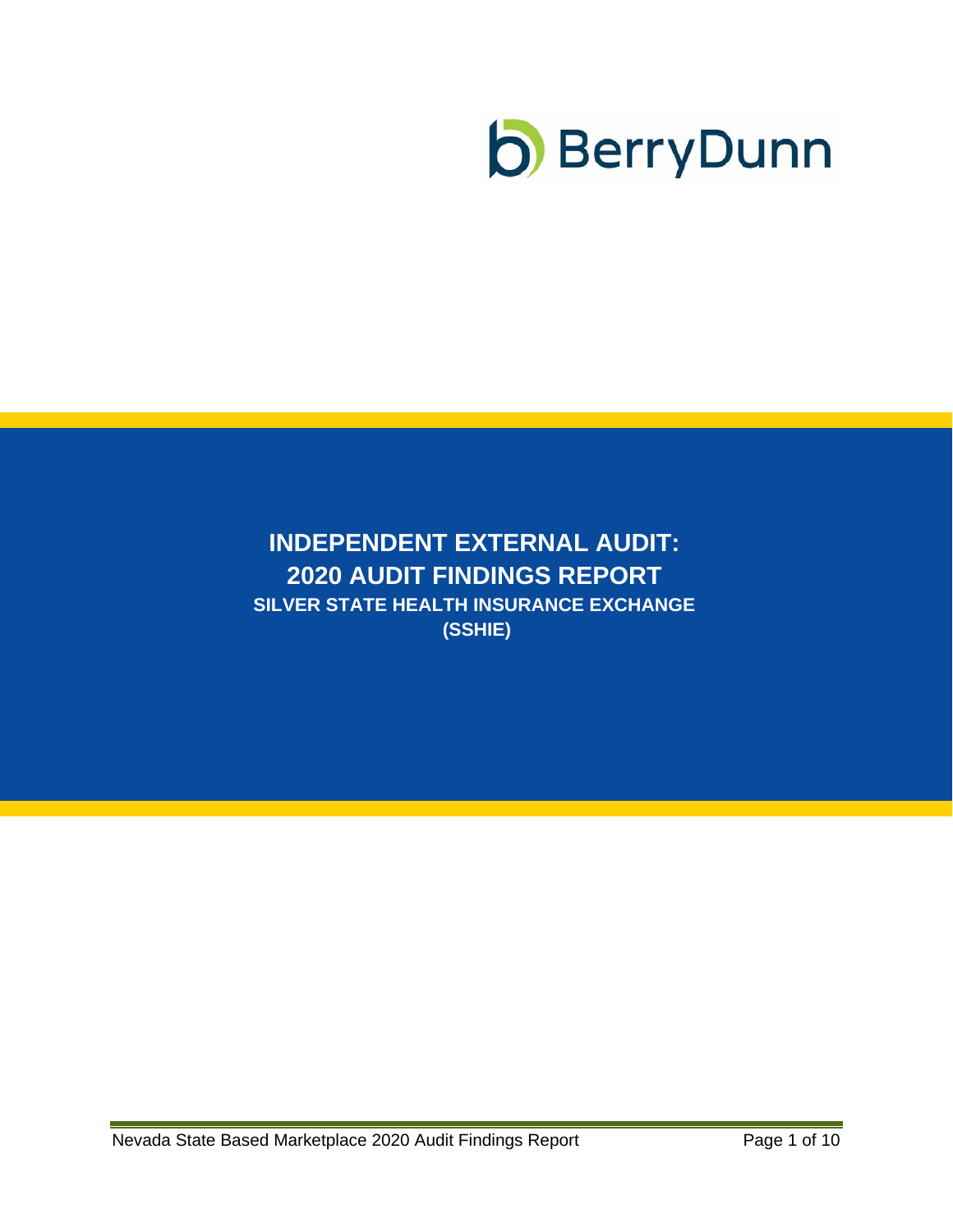

# **INDEPENDENT EXTERNAL AUDIT: 2020 AUDIT FINDINGS REPORT SILVER STATE HEALTH INSURANCE EXCHANGE**

**(SSHIE)**

Nevada State Based Marketplace 2020 Audit Findings Report Page 1 of 10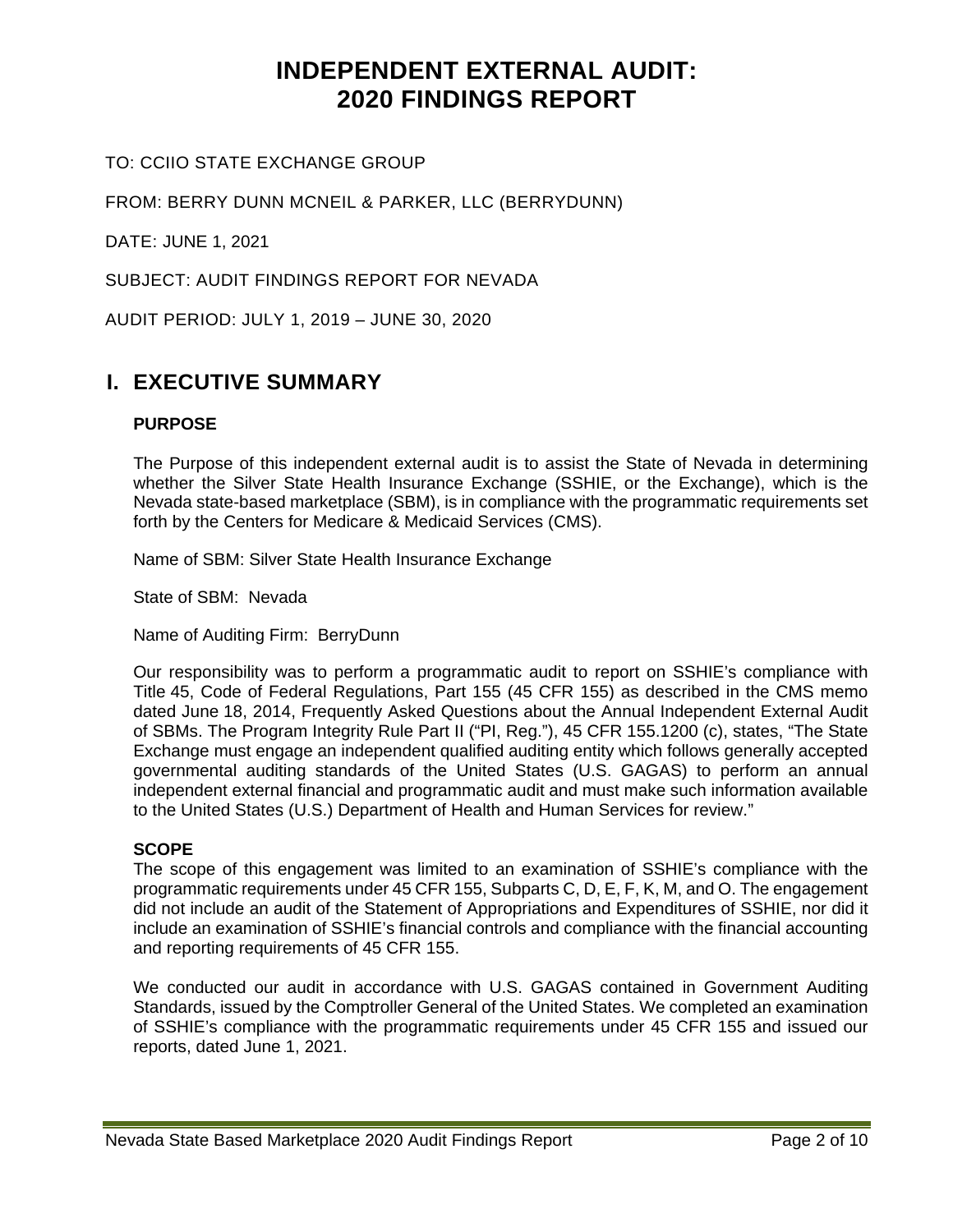# **INDEPENDENT EXTERNAL AUDIT: 2020 FINDINGS REPORT**

## TO: CCIIO STATE EXCHANGE GROUP

FROM: BERRY DUNN MCNEIL & PARKER, LLC (BERRYDUNN)

DATE: JUNE 1, 2021

SUBJECT: AUDIT FINDINGS REPORT FOR NEVADA

AUDIT PERIOD: JULY 1, 2019 – JUNE 30, 2020

## **I. EXECUTIVE SUMMARY**

#### **PURPOSE**

The Purpose of this independent external audit is to assist the State of Nevada in determining whether the Silver State Health Insurance Exchange (SSHIE, or the Exchange), which is the Nevada state-based marketplace (SBM), is in compliance with the programmatic requirements set forth by the Centers for Medicare & Medicaid Services (CMS).

Name of SBM: Silver State Health Insurance Exchange

State of SBM: Nevada

Name of Auditing Firm: BerryDunn

Our responsibility was to perform a programmatic audit to report on SSHIE's compliance with Title 45, Code of Federal Regulations, Part 155 (45 CFR 155) as described in the CMS memo dated June 18, 2014, Frequently Asked Questions about the Annual Independent External Audit of SBMs. The Program Integrity Rule Part II ("PI, Reg."), 45 CFR 155.1200 (c), states, "The State Exchange must engage an independent qualified auditing entity which follows generally accepted governmental auditing standards of the United States (U.S. GAGAS) to perform an annual independent external financial and programmatic audit and must make such information available to the United States (U.S.) Department of Health and Human Services for review."

## **SCOPE**

The scope of this engagement was limited to an examination of SSHIE's compliance with the programmatic requirements under 45 CFR 155, Subparts C, D, E, F, K, M, and O. The engagement did not include an audit of the Statement of Appropriations and Expenditures of SSHIE, nor did it include an examination of SSHIE's financial controls and compliance with the financial accounting and reporting requirements of 45 CFR 155.

We conducted our audit in accordance with U.S. GAGAS contained in Government Auditing Standards, issued by the Comptroller General of the United States. We completed an examination of SSHIE's compliance with the programmatic requirements under 45 CFR 155 and issued our reports, dated June 1, 2021.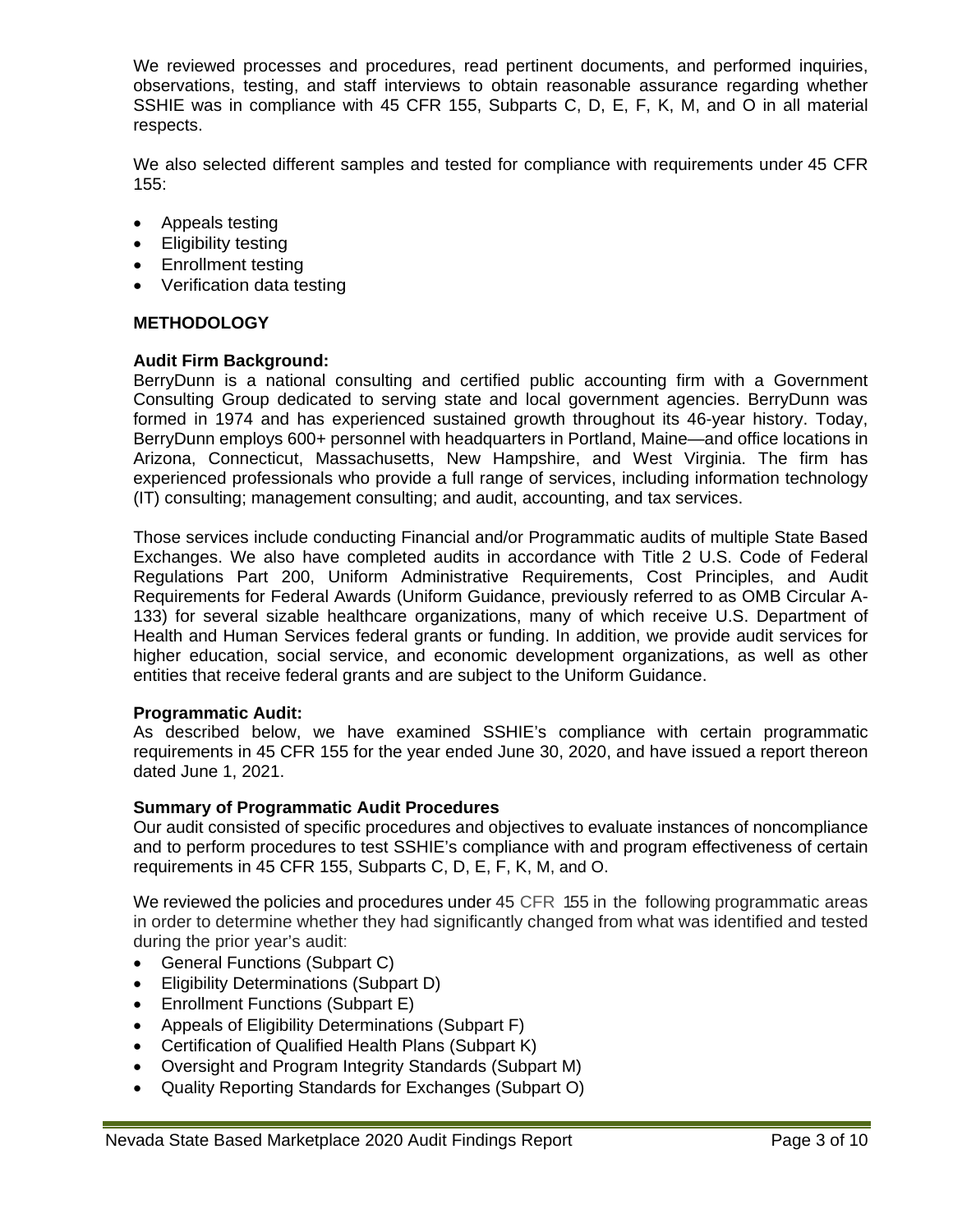We reviewed processes and procedures, read pertinent documents, and performed inquiries, observations, testing, and staff interviews to obtain reasonable assurance regarding whether SSHIE was in compliance with 45 CFR 155, Subparts C, D, E, F, K, M, and O in all material respects.

We also selected different samples and tested for compliance with requirements under 45 CFR 155:

- Appeals testing
- Eligibility testing
- Enrollment testing
- Verification data testing

#### **METHODOLOGY**

#### **Audit Firm Background:**

BerryDunn is a national consulting and certified public accounting firm with a Government Consulting Group dedicated to serving state and local government agencies. BerryDunn was formed in 1974 and has experienced sustained growth throughout its 46-year history. Today, BerryDunn employs 600+ personnel with headquarters in Portland, Maine—and office locations in Arizona, Connecticut, Massachusetts, New Hampshire, and West Virginia. The firm has experienced professionals who provide a full range of services, including information technology (IT) consulting; management consulting; and audit, accounting, and tax services.

Those services include conducting Financial and/or Programmatic audits of multiple State Based Exchanges. We also have completed audits in accordance with Title 2 U.S. Code of Federal Regulations Part 200, Uniform Administrative Requirements, Cost Principles, and Audit Requirements for Federal Awards (Uniform Guidance, previously referred to as OMB Circular A-133) for several sizable healthcare organizations, many of which receive U.S. Department of Health and Human Services federal grants or funding. In addition, we provide audit services for higher education, social service, and economic development organizations, as well as other entities that receive federal grants and are subject to the Uniform Guidance.

#### **Programmatic Audit:**

As described below, we have examined SSHIE's compliance with certain programmatic requirements in 45 CFR 155 for the year ended June 30, 2020, and have issued a report thereon dated June 1, 2021.

## **Summary of Programmatic Audit Procedures**

Our audit consisted of specific procedures and objectives to evaluate instances of noncompliance and to perform procedures to test SSHIE's compliance with and program effectiveness of certain requirements in 45 CFR 155, Subparts C, D, E, F, K, M, and O.

We reviewed the policies and procedures under 45 CFR 155 in the following programmatic areas in order to determine whether they had significantly changed from what was identified and tested during the prior year's audit:

- General Functions (Subpart C)
- Eligibility Determinations (Subpart D)
- Enrollment Functions (Subpart E)
- Appeals of Eligibility Determinations (Subpart F)
- Certification of Qualified Health Plans (Subpart K)
- Oversight and Program Integrity Standards (Subpart M)
- Quality Reporting Standards for Exchanges (Subpart O)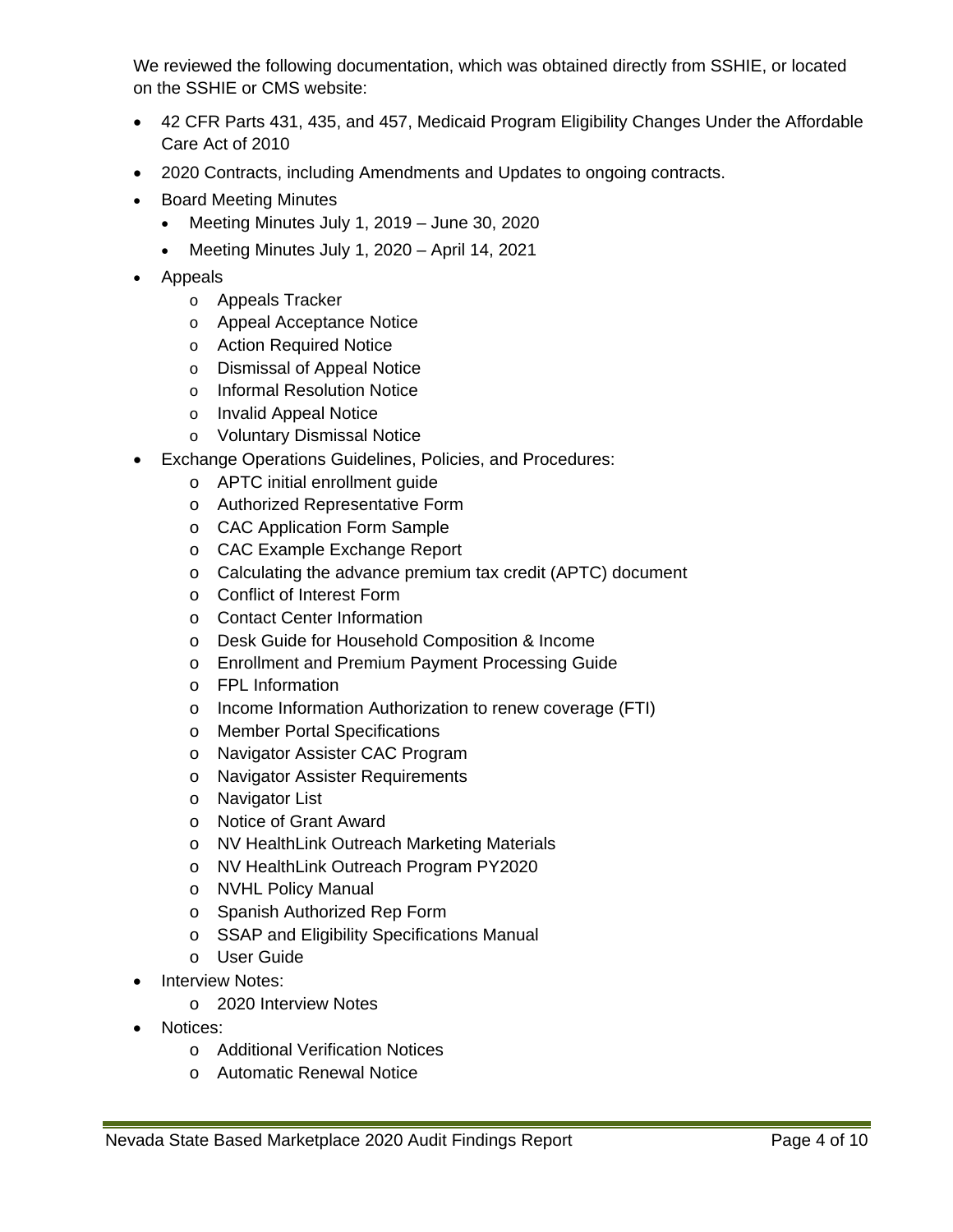We reviewed the following documentation, which was obtained directly from SSHIE, or located on the SSHIE or CMS website:

- 42 CFR Parts 431, 435, and 457, Medicaid Program Eligibility Changes Under the Affordable Care Act of 2010
- 2020 Contracts, including Amendments and Updates to ongoing contracts.
- Board Meeting Minutes
	- Meeting Minutes July 1, 2019 June 30, 2020
	- Meeting Minutes July 1, 2020 April 14, 2021
- Appeals
	- o Appeals Tracker
	- o Appeal Acceptance Notice
	- o Action Required Notice
	- o Dismissal of Appeal Notice
	- o Informal Resolution Notice
	- o Invalid Appeal Notice
	- o Voluntary Dismissal Notice
- Exchange Operations Guidelines, Policies, and Procedures:
	- o APTC initial enrollment guide
	- o Authorized Representative Form
	- o CAC Application Form Sample
	- o CAC Example Exchange Report
	- o Calculating the advance premium tax credit (APTC) document
	- o Conflict of Interest Form
	- o Contact Center Information
	- o Desk Guide for Household Composition & Income
	- o Enrollment and Premium Payment Processing Guide
	- o FPL Information
	- o Income Information Authorization to renew coverage (FTI)
	- o Member Portal Specifications
	- o Navigator Assister CAC Program
	- o Navigator Assister Requirements
	- o Navigator List
	- o Notice of Grant Award
	- o NV HealthLink Outreach Marketing Materials
	- o NV HealthLink Outreach Program PY2020
	- o NVHL Policy Manual
	- o Spanish Authorized Rep Form
	- o SSAP and Eligibility Specifications Manual
	- o User Guide
- Interview Notes:
	- o 2020 Interview Notes
- Notices:
	- o Additional Verification Notices
	- o Automatic Renewal Notice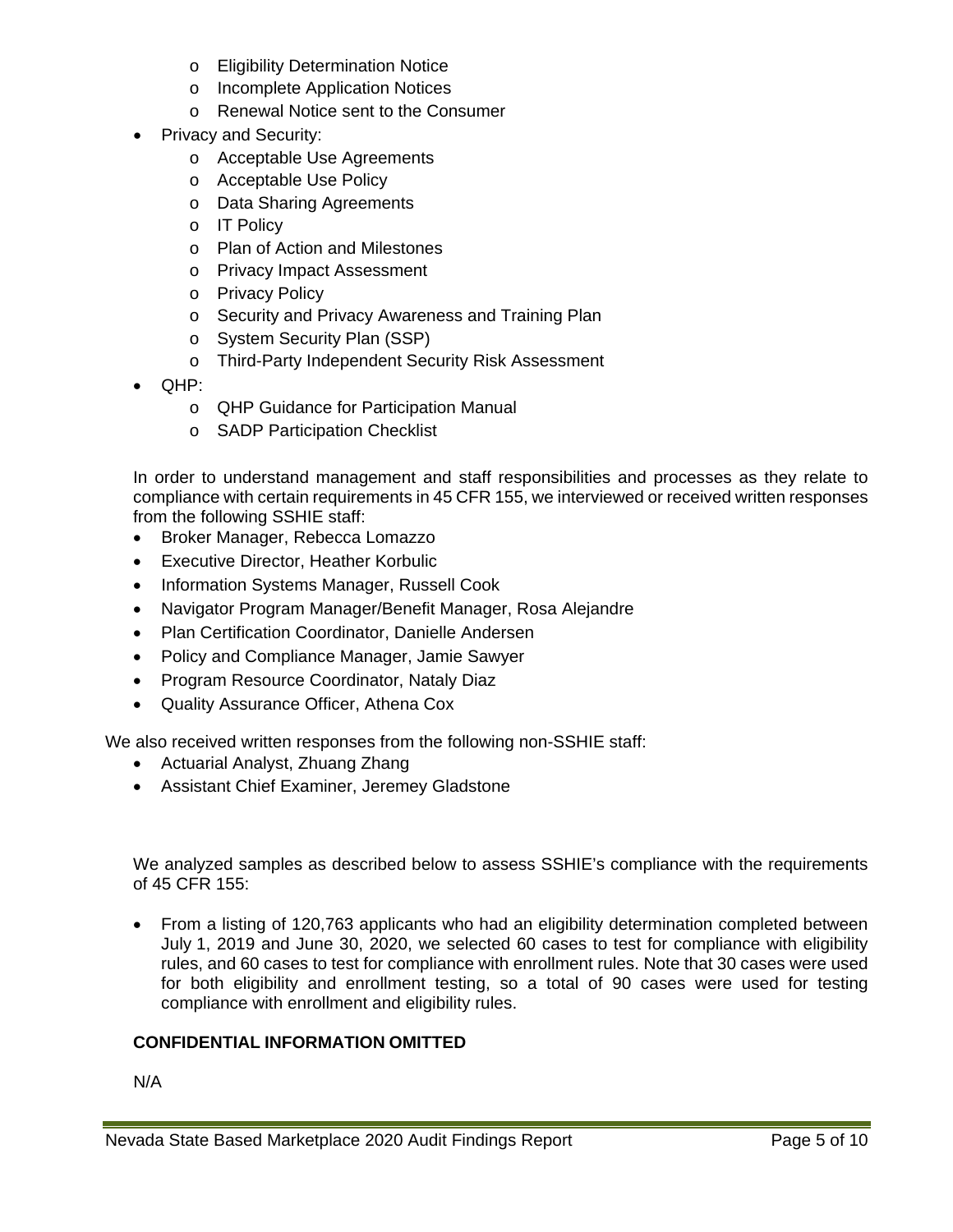- o Eligibility Determination Notice
- o Incomplete Application Notices
- o Renewal Notice sent to the Consumer
- Privacy and Security:
	- o Acceptable Use Agreements
	- o Acceptable Use Policy
	- o Data Sharing Agreements
	- o IT Policy
	- o Plan of Action and Milestones
	- o Privacy Impact Assessment
	- o Privacy Policy
	- o Security and Privacy Awareness and Training Plan
	- o System Security Plan (SSP)
	- o Third-Party Independent Security Risk Assessment
- QHP:
	- o QHP Guidance for Participation Manual
	- o SADP Participation Checklist

In order to understand management and staff responsibilities and processes as they relate to compliance with certain requirements in 45 CFR 155, we interviewed or received written responses from the following SSHIE staff:

- Broker Manager, Rebecca Lomazzo
- Executive Director, Heather Korbulic
- Information Systems Manager, Russell Cook
- Navigator Program Manager/Benefit Manager, Rosa Alejandre
- Plan Certification Coordinator, Danielle Andersen
- Policy and Compliance Manager, Jamie Sawyer
- Program Resource Coordinator, Nataly Diaz
- Quality Assurance Officer, Athena Cox

We also received written responses from the following non-SSHIE staff:

- Actuarial Analyst, Zhuang Zhang
- Assistant Chief Examiner, Jeremey Gladstone

We analyzed samples as described below to assess SSHIE's compliance with the requirements of 45 CFR 155:

• From a listing of 120,763 applicants who had an eligibility determination completed between July 1, 2019 and June 30, 2020, we selected 60 cases to test for compliance with eligibility rules, and 60 cases to test for compliance with enrollment rules. Note that 30 cases were used for both eligibility and enrollment testing, so a total of 90 cases were used for testing compliance with enrollment and eligibility rules.

## **CONFIDENTIAL INFORMATION OMITTED**

N/A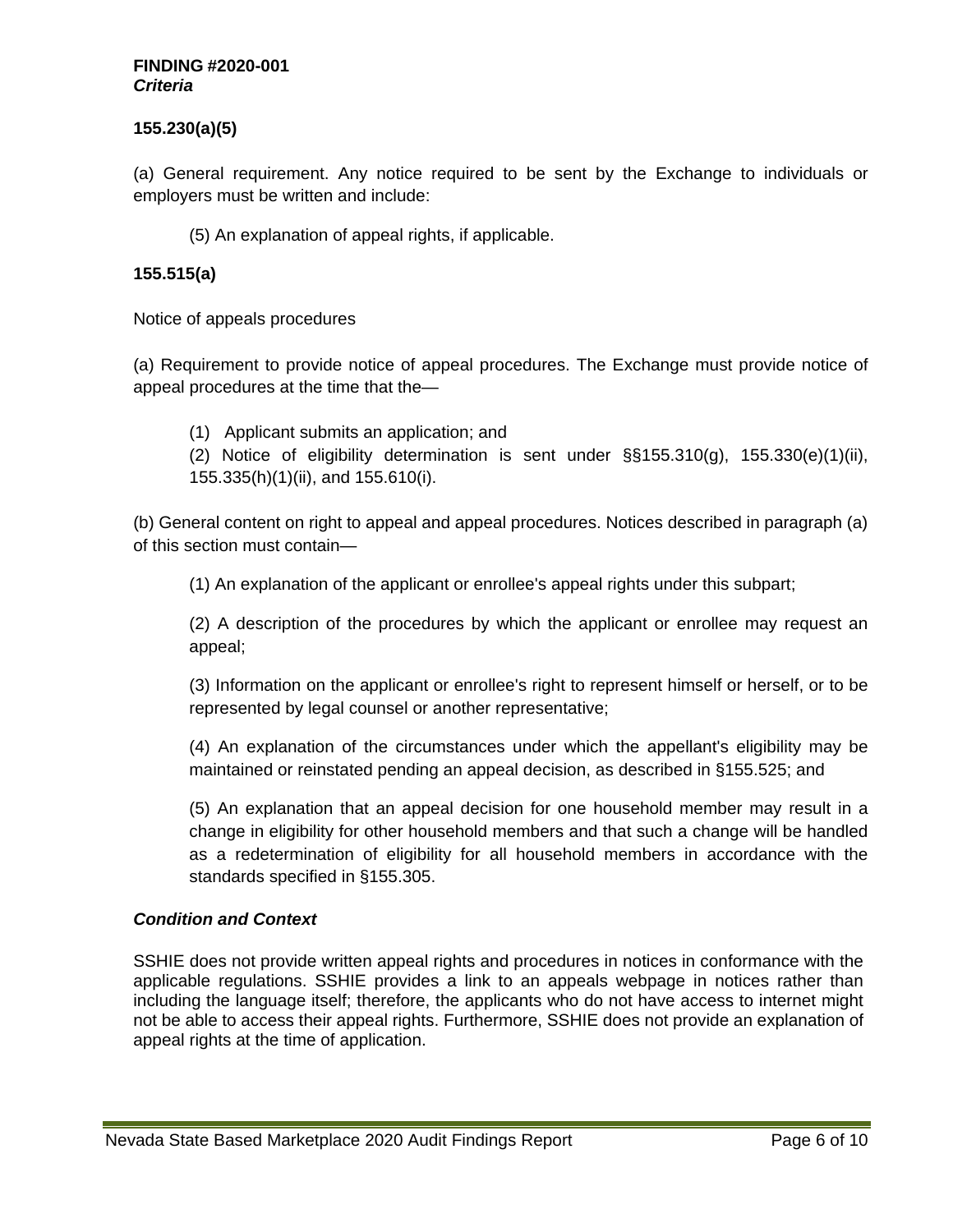#### **FINDING #2020-001** *Criteria*

## **155.230(a)(5)**

(a) General requirement. Any notice required to be sent by the Exchange to individuals or employers must be written and include:

(5) An explanation of appeal rights, if applicable.

## **155.515(a)**

Notice of appeals procedures

(a) Requirement to provide notice of appeal procedures. The Exchange must provide notice of appeal procedures at the time that the—

(1) Applicant submits an application; and

(2) Notice of eligibility determination is sent under  $\S$ §155.310(g), 155.330(e)(1)(ii), 155.335(h)(1)(ii), and 155.610(i).

(b) General content on right to appeal and appeal procedures. Notices described in paragraph (a) of this section must contain—

(1) An explanation of the applicant or enrollee's appeal rights under this subpart;

(2) A description of the procedures by which the applicant or enrollee may request an appeal;

(3) Information on the applicant or enrollee's right to represent himself or herself, or to be represented by legal counsel or another representative;

(4) An explanation of the circumstances under which the appellant's eligibility may be maintained or reinstated pending an appeal decision, as described in §155.525; and

(5) An explanation that an appeal decision for one household member may result in a change in eligibility for other household members and that such a change will be handled as a redetermination of eligibility for all household members in accordance with the standards specified in §155.305.

## *Condition and Context*

SSHIE does not provide written appeal rights and procedures in notices in conformance with the applicable regulations. SSHIE provides a link to an appeals webpage in notices rather than including the language itself; therefore, the applicants who do not have access to internet might not be able to access their appeal rights. Furthermore, SSHIE does not provide an explanation of appeal rights at the time of application.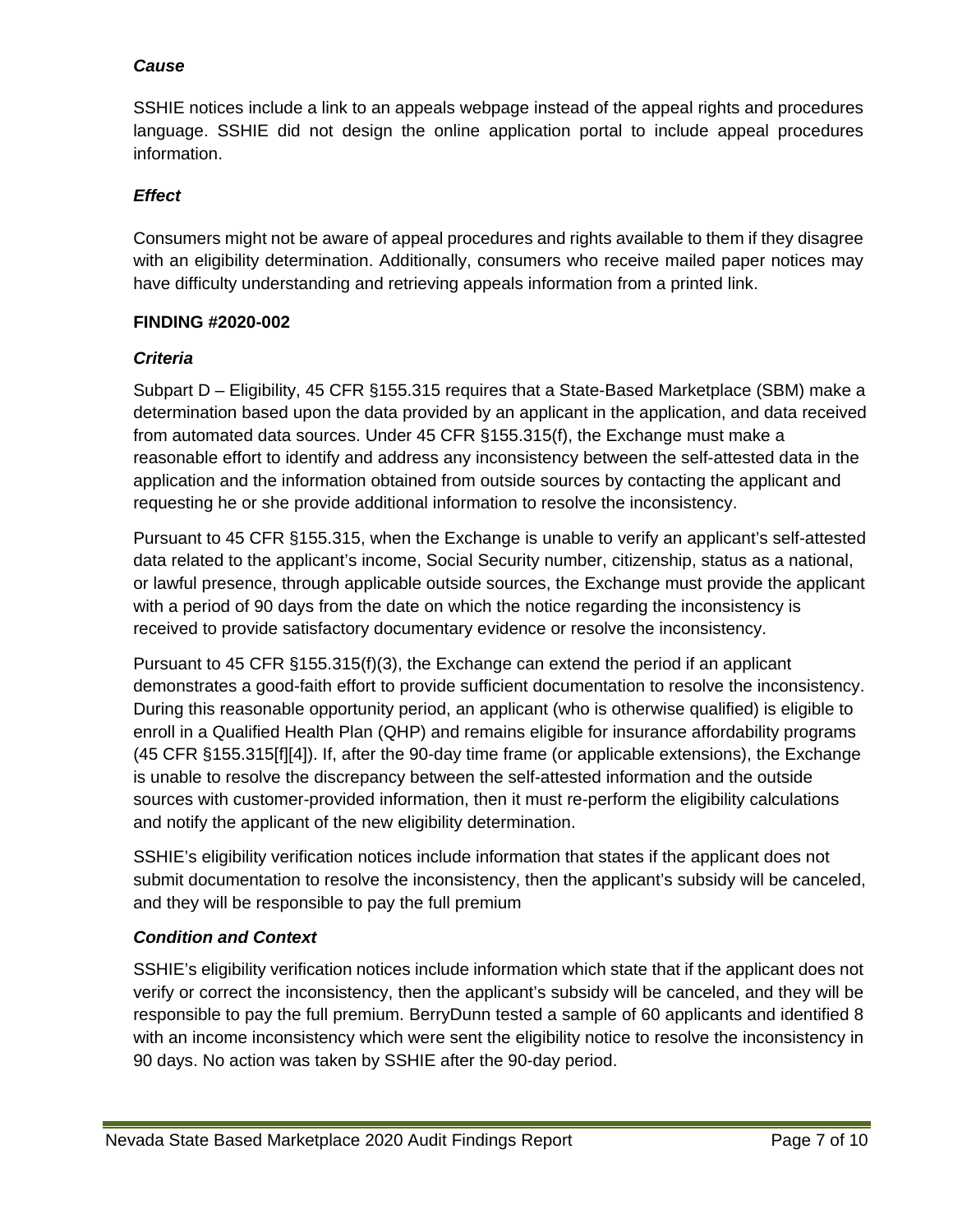## *Cause*

SSHIE notices include a link to an appeals webpage instead of the appeal rights and procedures language. SSHIE did not design the online application portal to include appeal procedures information.

## *Effect*

Consumers might not be aware of appeal procedures and rights available to them if they disagree with an eligibility determination. Additionally, consumers who receive mailed paper notices may have difficulty understanding and retrieving appeals information from a printed link.

## **FINDING #2020-002**

## *Criteria*

Subpart D – Eligibility, 45 CFR §155.315 requires that a State-Based Marketplace (SBM) make a determination based upon the data provided by an applicant in the application, and data received from automated data sources. Under 45 CFR §155.315(f), the Exchange must make a reasonable effort to identify and address any inconsistency between the self-attested data in the application and the information obtained from outside sources by contacting the applicant and requesting he or she provide additional information to resolve the inconsistency.

Pursuant to 45 CFR §155.315, when the Exchange is unable to verify an applicant's self-attested data related to the applicant's income, Social Security number, citizenship, status as a national, or lawful presence, through applicable outside sources, the Exchange must provide the applicant with a period of 90 days from the date on which the notice regarding the inconsistency is received to provide satisfactory documentary evidence or resolve the inconsistency.

Pursuant to 45 CFR §155.315(f)(3), the Exchange can extend the period if an applicant demonstrates a good-faith effort to provide sufficient documentation to resolve the inconsistency. During this reasonable opportunity period, an applicant (who is otherwise qualified) is eligible to enroll in a Qualified Health Plan (QHP) and remains eligible for insurance affordability programs (45 CFR §155.315[f][4]). If, after the 90-day time frame (or applicable extensions), the Exchange is unable to resolve the discrepancy between the self-attested information and the outside sources with customer-provided information, then it must re-perform the eligibility calculations and notify the applicant of the new eligibility determination.

SSHIE's eligibility verification notices include information that states if the applicant does not submit documentation to resolve the inconsistency, then the applicant's subsidy will be canceled, and they will be responsible to pay the full premium

## *Condition and Context*

SSHIE's eligibility verification notices include information which state that if the applicant does not verify or correct the inconsistency, then the applicant's subsidy will be canceled, and they will be responsible to pay the full premium. BerryDunn tested a sample of 60 applicants and identified 8 with an income inconsistency which were sent the eligibility notice to resolve the inconsistency in 90 days. No action was taken by SSHIE after the 90-day period.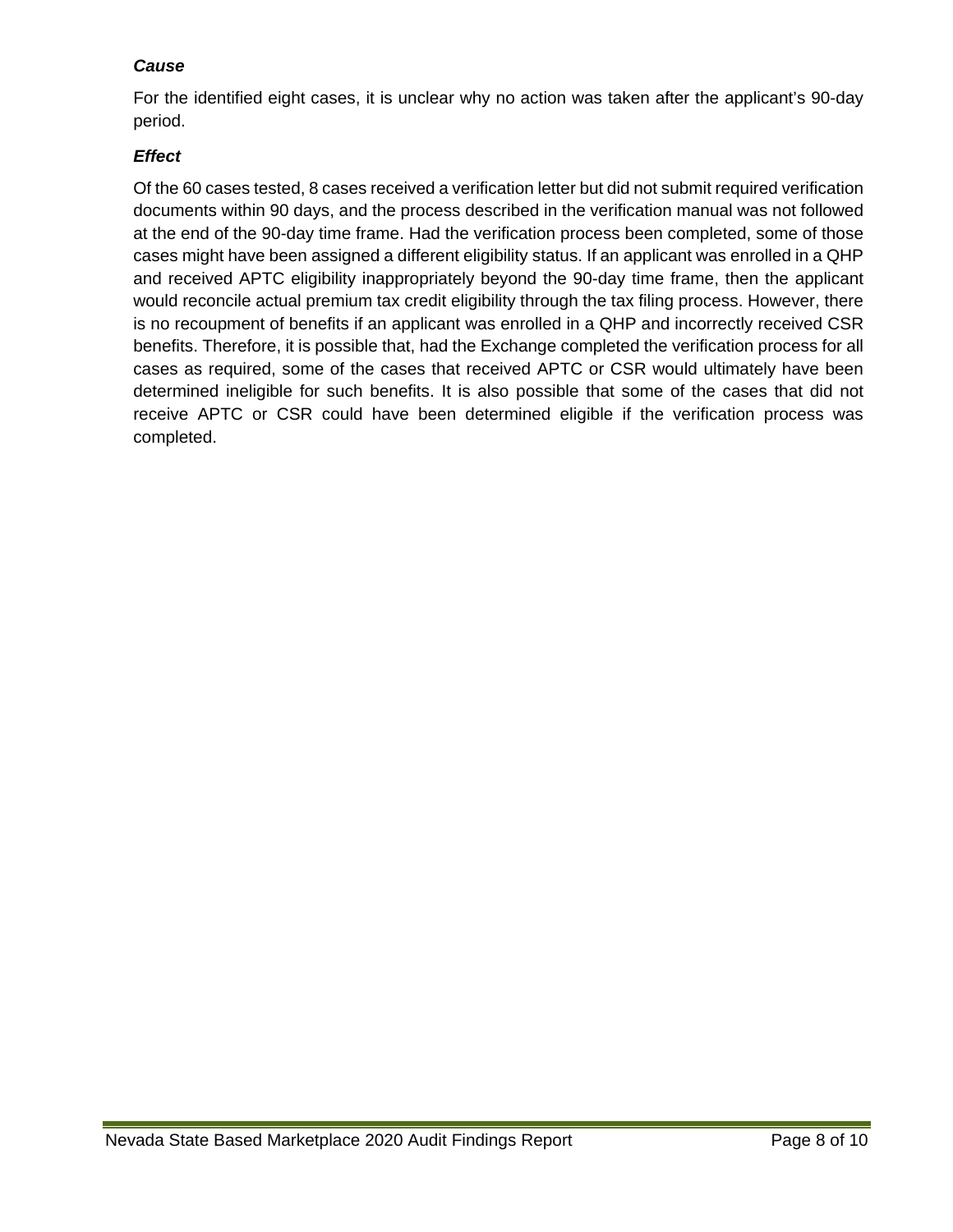## *Cause*

For the identified eight cases, it is unclear why no action was taken after the applicant's 90-day period.

## *Effect*

Of the 60 cases tested, 8 cases received a verification letter but did not submit required verification documents within 90 days, and the process described in the verification manual was not followed at the end of the 90-day time frame. Had the verification process been completed, some of those cases might have been assigned a different eligibility status. If an applicant was enrolled in a QHP and received APTC eligibility inappropriately beyond the 90-day time frame, then the applicant would reconcile actual premium tax credit eligibility through the tax filing process. However, there is no recoupment of benefits if an applicant was enrolled in a QHP and incorrectly received CSR benefits. Therefore, it is possible that, had the Exchange completed the verification process for all cases as required, some of the cases that received APTC or CSR would ultimately have been determined ineligible for such benefits. It is also possible that some of the cases that did not receive APTC or CSR could have been determined eligible if the verification process was completed.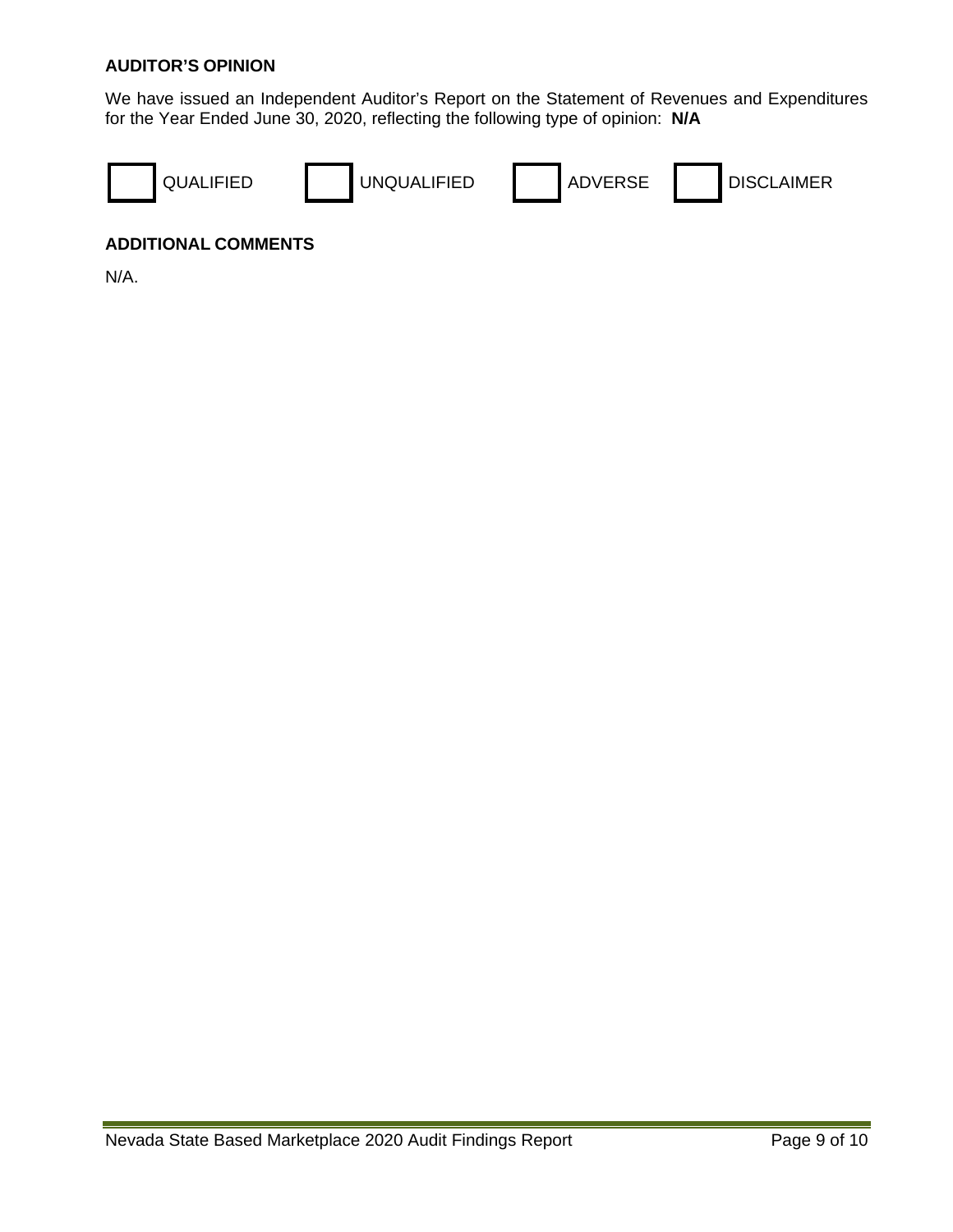#### **AUDITOR'S OPINION**

We have issued an Independent Auditor's Report on the Statement of Revenues and Expenditures for the Year Ended June 30, 2020, reflecting the following type of opinion: **N/A**



#### **ADDITIONAL COMMENTS**

N/A.